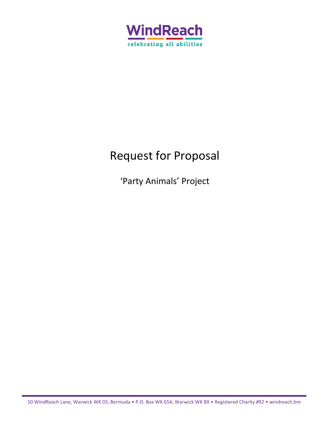

# Request for Proposal

'Party Animals' Project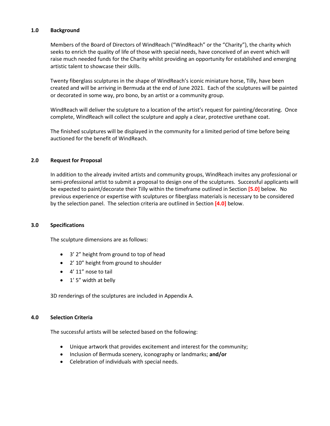### **1.0 Background**

Members of the Board of Directors of WindReach ("WindReach" or the "Charity"), the charity which seeks to enrich the quality of life of those with special needs, have conceived of an event which will raise much needed funds for the Charity whilst providing an opportunity for established and emerging artistic talent to showcase their skills.

Twenty fiberglass sculptures in the shape of WindReach's iconic miniature horse, Tilly, have been created and will be arriving in Bermuda at the end of June 2021. Each of the sculptures will be painted or decorated in some way, pro bono, by an artist or a community group.

WindReach will deliver the sculpture to a location of the artist's request for painting/decorating. Once complete, WindReach will collect the sculpture and apply a clear, protective urethane coat.

The finished sculptures will be displayed in the community for a limited period of time before being auctioned for the benefit of WindReach.

### **2.0 Request for Proposal**

In addition to the already invited artists and community groups, WindReach invites any professional or semi-professional artist to submit a proposal to design one of the sculptures. Successful applicants will be expected to paint/decorate their Tilly within the timeframe outlined in Section **[5.0]** below. No previous experience or expertise with sculptures or fiberglass materials is necessary to be considered by the selection panel. The selection criteria are outlined in Section **[4.0]** below.

### **3.0 Specifications**

The sculpture dimensions are as follows:

- 3' 2" height from ground to top of head
- 2' 10" height from ground to shoulder
- 4' 11" nose to tail
- 1' 5" width at belly

3D renderings of the sculptures are included in Appendix A.

#### **4.0 Selection Criteria**

The successful artists will be selected based on the following:

- Unique artwork that provides excitement and interest for the community;
- Inclusion of Bermuda scenery, iconography or landmarks; **and/or**
- Celebration of individuals with special needs.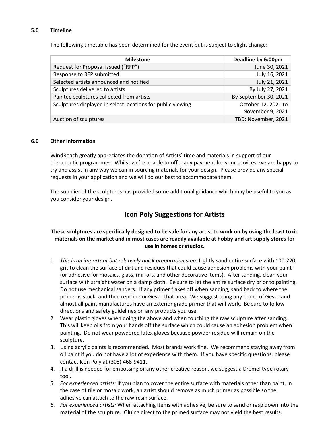### **5.0 Timeline**

The following timetable has been determined for the event but is subject to slight change:

| <b>Milestone</b>                                            | Deadline by 6:00pm    |
|-------------------------------------------------------------|-----------------------|
| Request for Proposal issued ("RFP")                         | June 30, 2021         |
| Response to RFP submitted                                   | July 16, 2021         |
| Selected artists announced and notified                     | July 21, 2021         |
| Sculptures delivered to artists                             | By July 27, 2021      |
| Painted sculptures collected from artists                   | By September 30, 2021 |
| Sculptures displayed in select locations for public viewing | October 12, 2021 to   |
|                                                             | November 9, 2021      |
| Auction of sculptures                                       | TBD: November, 2021   |

### **6.0 Other information**

WindReach greatly appreciates the donation of Artists' time and materials in support of our therapeutic programmes. Whilst we're unable to offer any payment for your services, we are happy to try and assist in any way we can in sourcing materials for your design. Please provide any special requests in your application and we will do our best to accommodate them.

The supplier of the sculptures has provided some additional guidance which may be useful to you as you consider your design.

# **Icon Poly Suggestions for Artists**

## **These sculptures are specifically designed to be safe for any artist to work on by using the least toxic materials on the market and in most cases are readily available at hobby and art supply stores for use in homes or studios.**

- 1. *This is an important but relatively quick preparation step*: Lightly sand entire surface with 100-220 grit to clean the surface of dirt and residues that could cause adhesion problems with your paint (or adhesive for mosaics, glass, mirrors, and other decorative items). After sanding, clean your surface with straight water on a damp cloth. Be sure to let the entire surface dry prior to painting. Do not use mechanical sanders. If any primer flakes off when sanding, sand back to where the primer is stuck, and then reprime or Gesso that area. We suggest using any brand of Gesso and almost all paint manufactures have an exterior grade primer that will work. Be sure to follow directions and safety guidelines on any products you use.
- 2. Wear plastic gloves when doing the above and when touching the raw sculpture after sanding. This will keep oils from your hands off the surface which could cause an adhesion problem when painting. Do not wear powdered latex gloves because powder residue will remain on the sculpture.
- 3. Using acrylic paints is recommended. Most brands work fine. We recommend staying away from oil paint if you do not have a lot of experience with them. If you have specific questions, please contact Icon Poly at (308) 468-9411.
- 4. If a drill is needed for embossing or any other creative reason, we suggest a Dremel type rotary tool.
- 5. *For experienced artists:* If you plan to cover the entire surface with materials other than paint, in the case of tile or mosaic work, an artist should remove as much primer as possible so the adhesive can attach to the raw resin surface.
- 6. *For experienced artists:* When attaching items with adhesive, be sure to sand or rasp down into the material of the sculpture. Gluing direct to the primed surface may not yield the best results.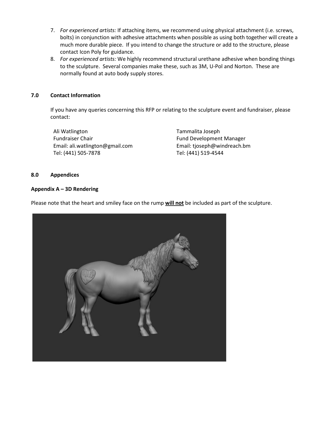- 7. *For experienced artists:* If attaching items, we recommend using physical attachment (i.e. screws, bolts) in conjunction with adhesive attachments when possible as using both together will create a much more durable piece. If you intend to change the structure or add to the structure, please contact Icon Poly for guidance.
- 8. *For experienced artists:* We highly recommend structural urethane adhesive when bonding things to the sculpture. Several companies make these, such as 3M, U-Pol and Norton. These are normally found at auto body supply stores.

### **7.0 Contact Information**

If you have any queries concerning this RFP or relating to the sculpture event and fundraiser, please contact:

Ali Watlington Fundraiser Chair Email: ali.watlington@gmail.com Email: tjoseph@windreach.bm Tel: (441) 505-7878 Tel: (441) 519-4544

Tammalita Joseph Fund Development Manager

### **8.0 Appendices**

### **Appendix A – 3D Rendering**

Please note that the heart and smiley face on the rump **will not** be included as part of the sculpture.

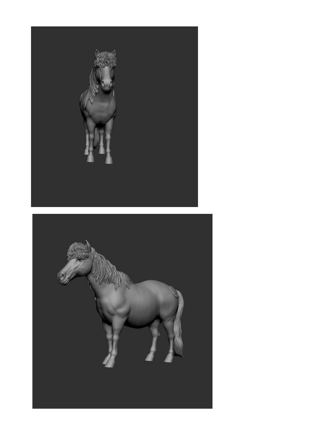